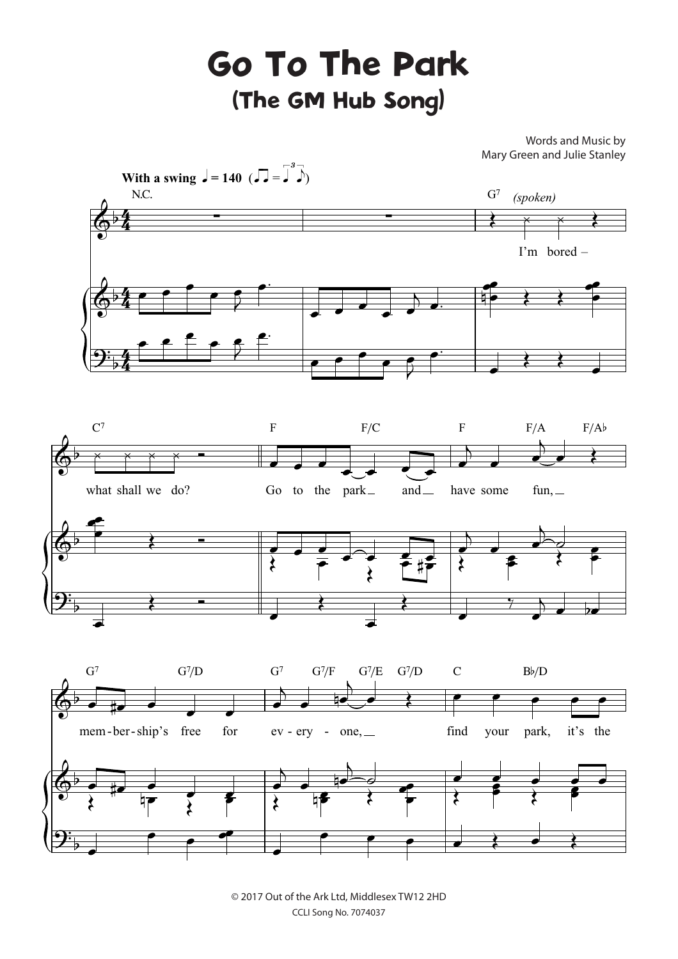## Go To The Park (The GM Hub Song)

Words and Music by Mary Green and Julie Stanley



© 2017 Out of the Ark Ltd, Middlesex TW12 2HD CCLI Song No. 7074037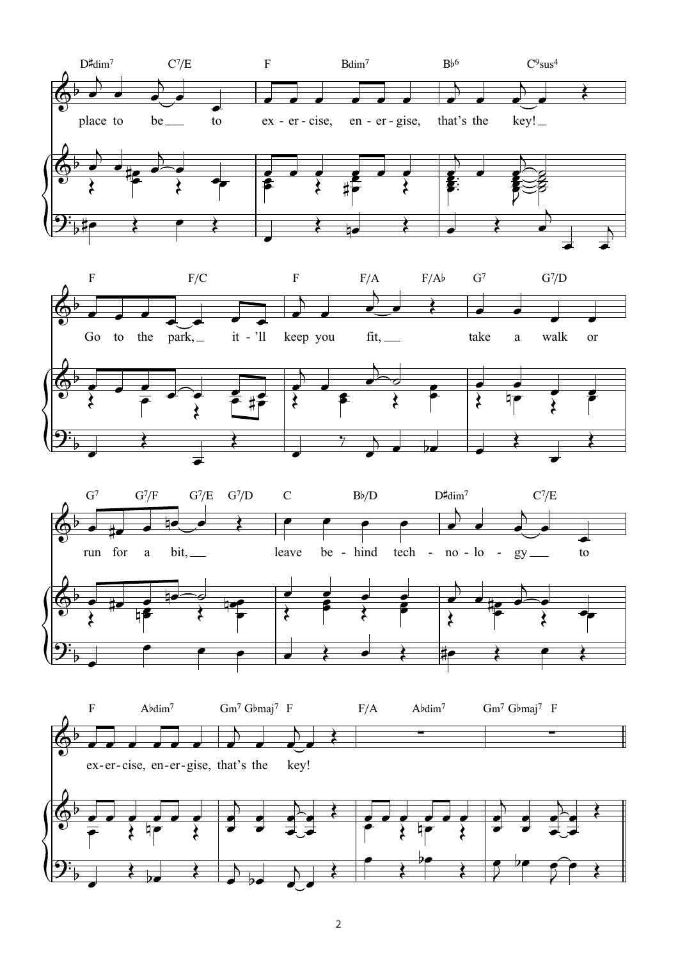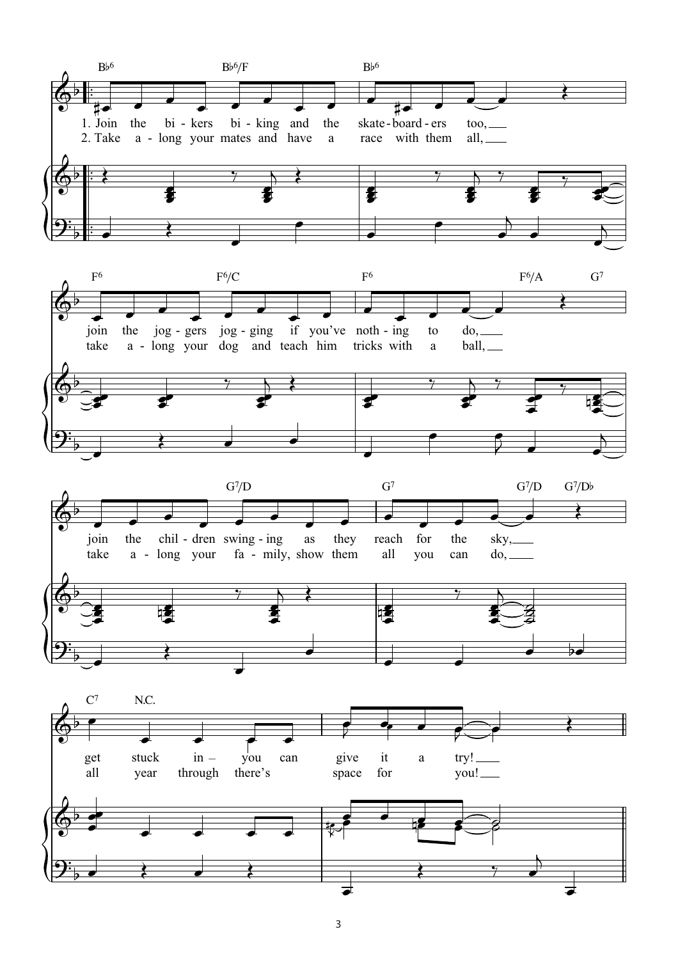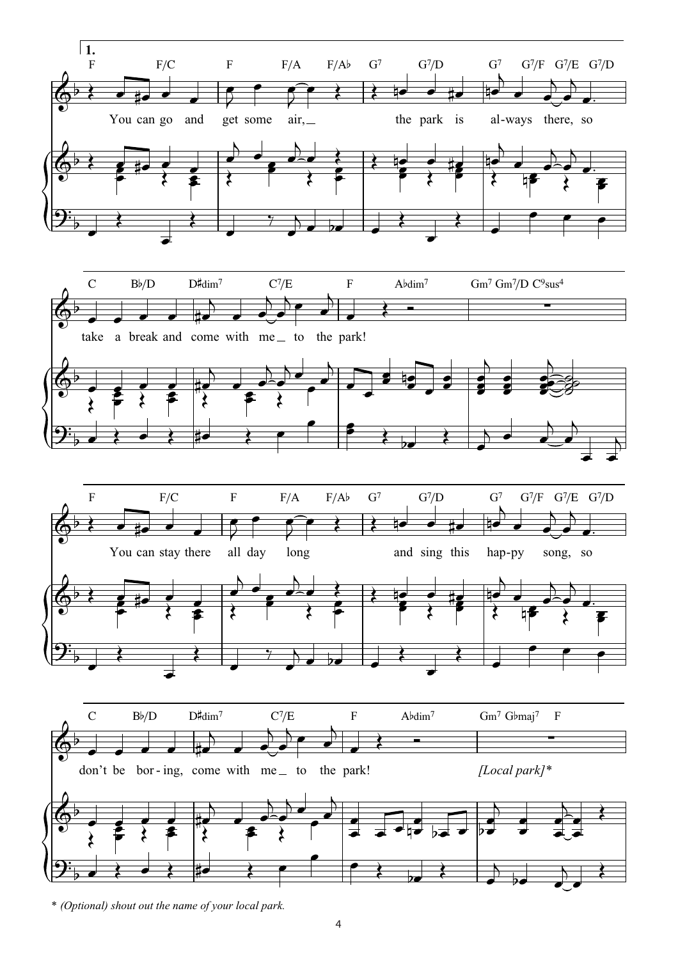

\* (Optional) shout out the name of your local park.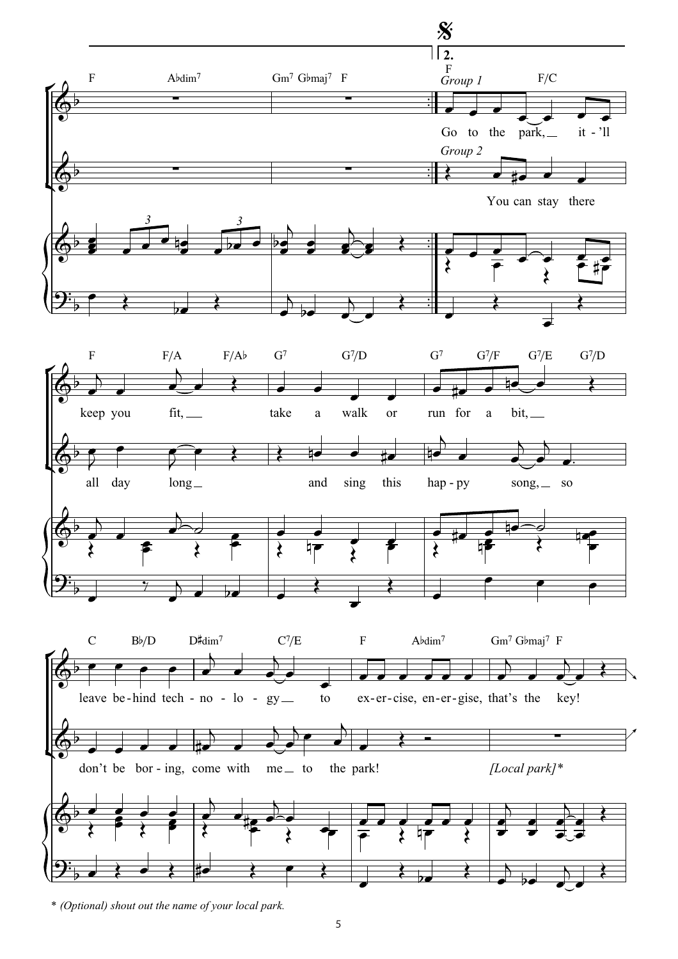

<sup>\* (</sup>Optional) shout out the name of your local park.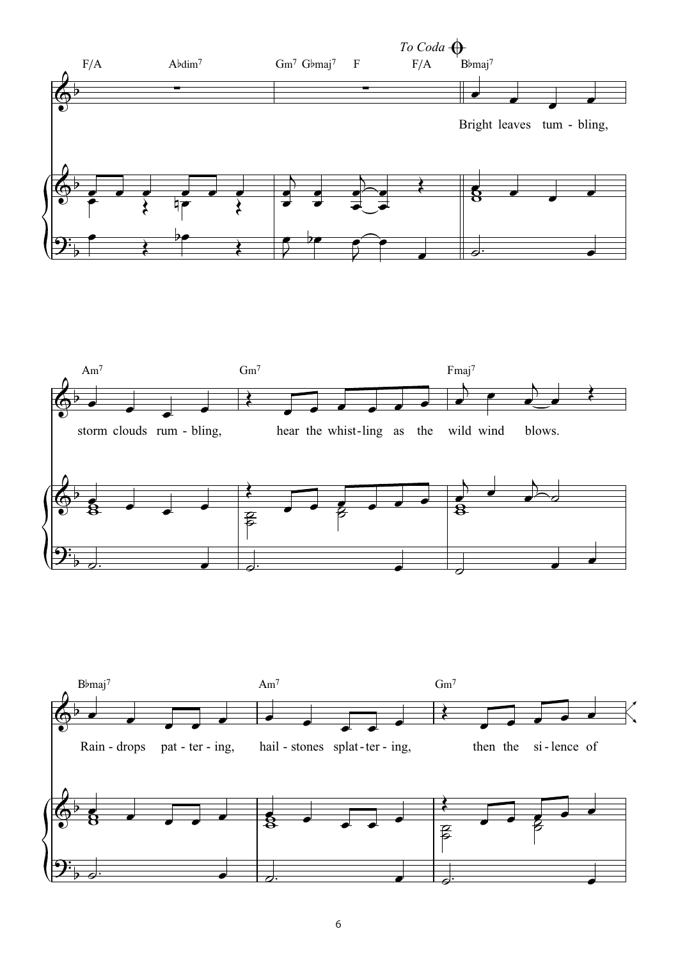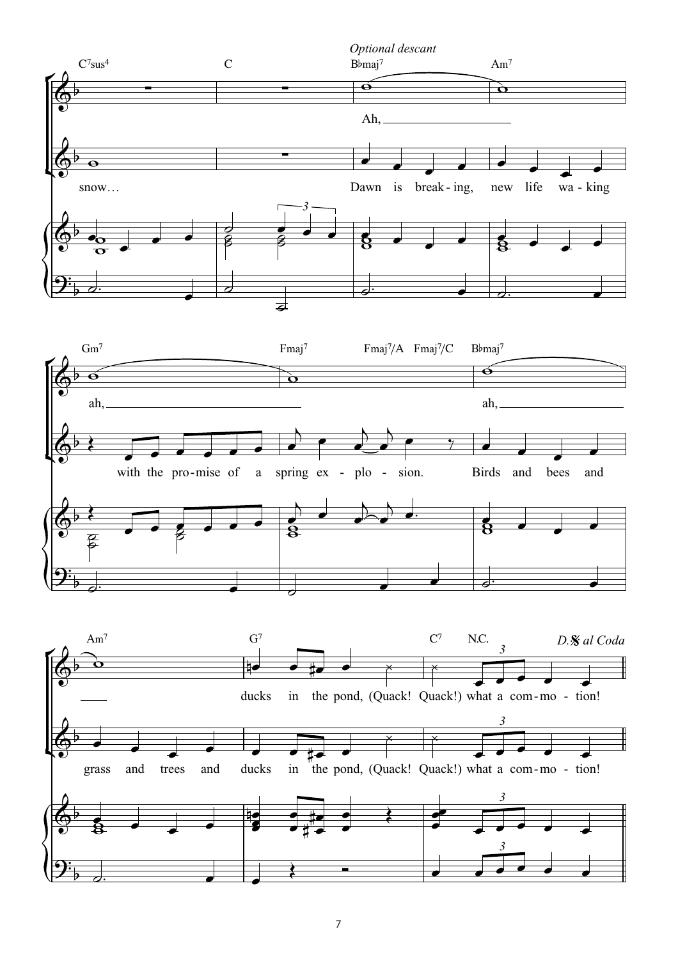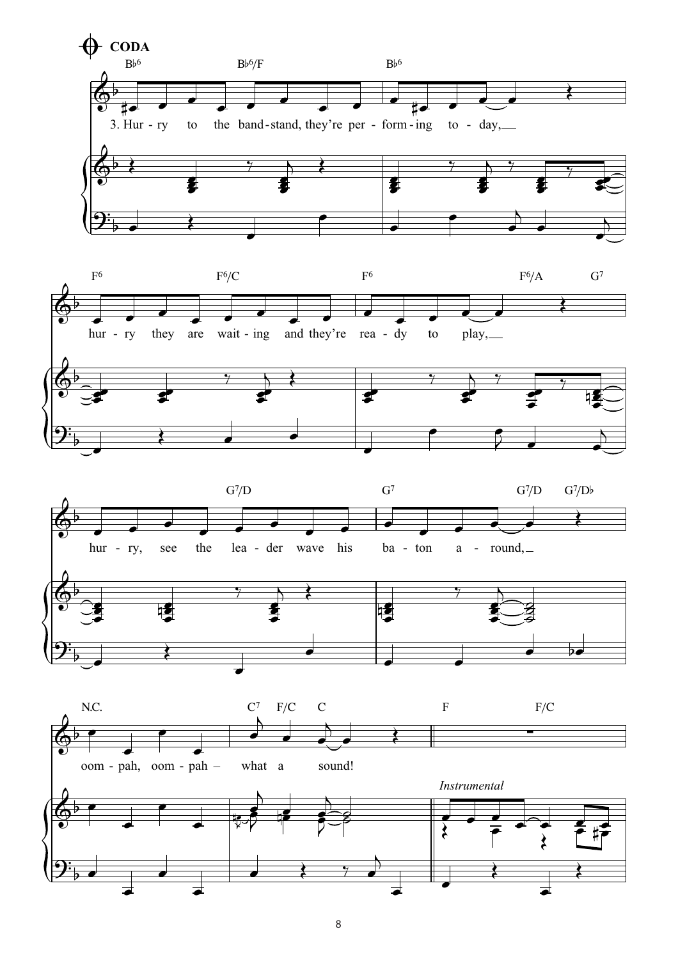







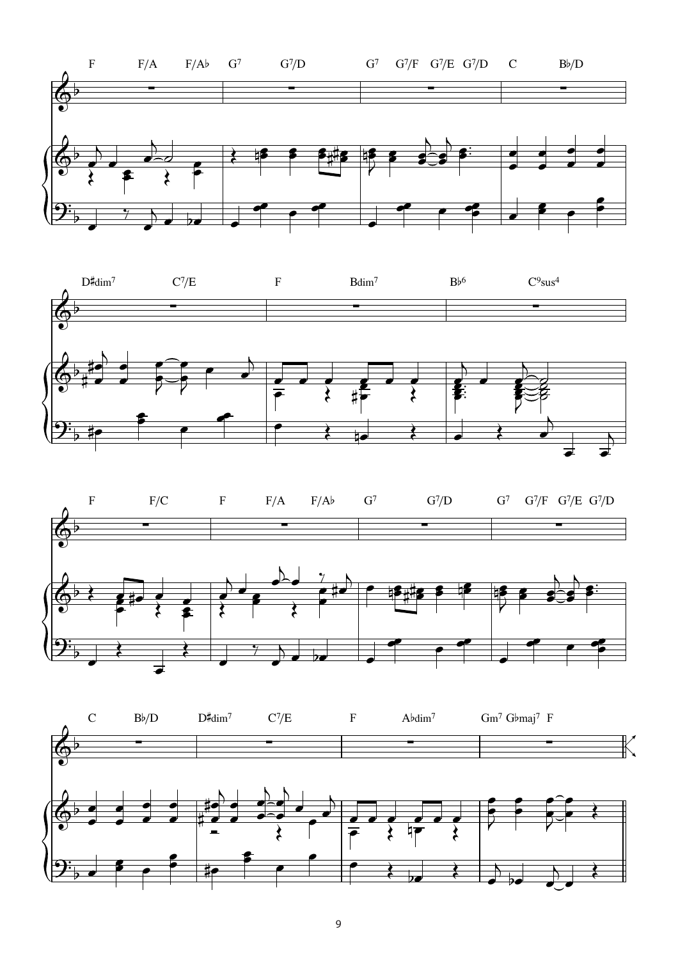





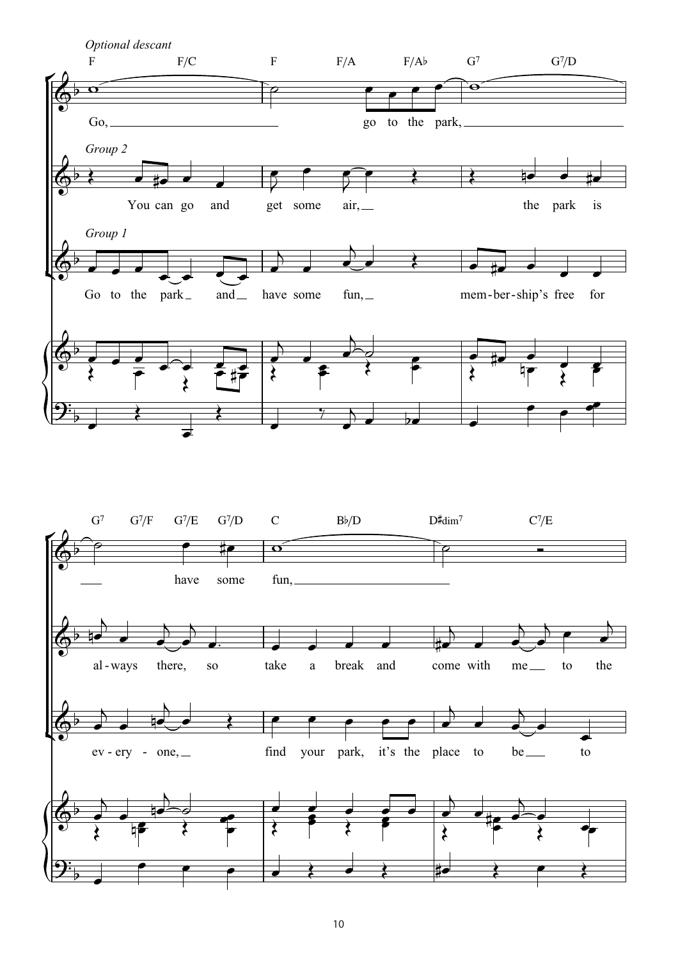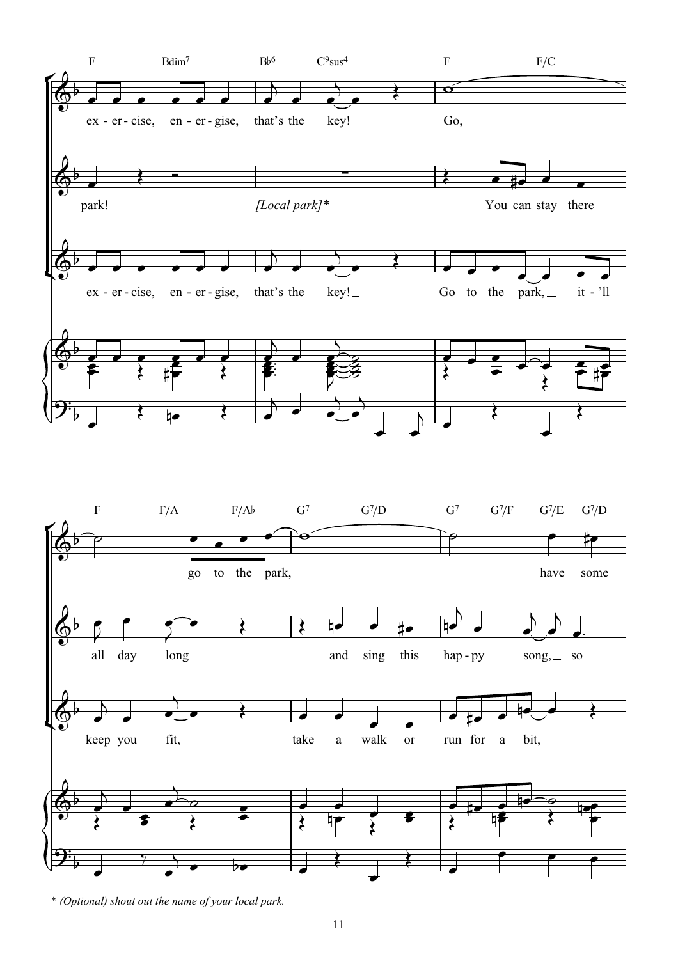![](_page_10_Figure_0.jpeg)

<sup>\*</sup> *(Optional) shout out the name of your local park.*